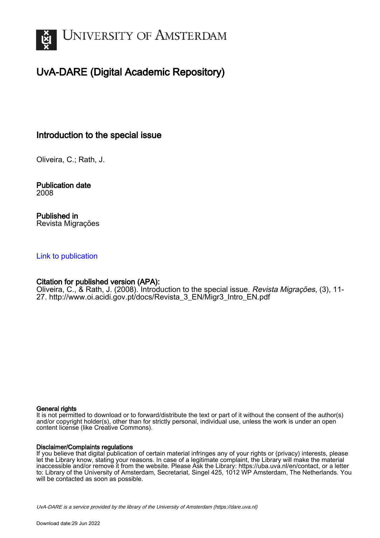

# UvA-DARE (Digital Academic Repository)

## Introduction to the special issue

Oliveira, C.; Rath, J.

Publication date 2008

Published in Revista Migrações

### [Link to publication](https://dare.uva.nl/personal/pure/en/publications/introduction-to-the-special-issue(11dd2a36-c376-4ec6-8c8e-74b4bff787c6).html)

### Citation for published version (APA):

Oliveira, C., & Rath, J. (2008). Introduction to the special issue. Revista Migrações, (3), 11- 27. [http://www.oi.acidi.gov.pt/docs/Revista\\_3\\_EN/Migr3\\_Intro\\_EN.pdf](http://www.oi.acidi.gov.pt/docs/Revista_3_EN/Migr3_Intro_EN.pdf)

### General rights

It is not permitted to download or to forward/distribute the text or part of it without the consent of the author(s) and/or copyright holder(s), other than for strictly personal, individual use, unless the work is under an open content license (like Creative Commons).

### Disclaimer/Complaints regulations

If you believe that digital publication of certain material infringes any of your rights or (privacy) interests, please let the Library know, stating your reasons. In case of a legitimate complaint, the Library will make the material inaccessible and/or remove it from the website. Please Ask the Library: https://uba.uva.nl/en/contact, or a letter to: Library of the University of Amsterdam, Secretariat, Singel 425, 1012 WP Amsterdam, The Netherlands. You will be contacted as soon as possible.

UvA-DARE is a service provided by the library of the University of Amsterdam (http*s*://dare.uva.nl)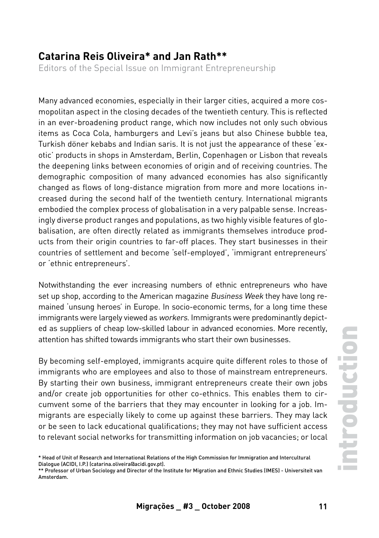### **Catarina Reis Oliveira\* and Jan Rath\*\***

Editors of the Special Issue on Immigrant Entrepreneurship

Many advanced economies, especially in their larger cities, acquired a more cosmopolitan aspect in the closing decades of the twentieth century. This is reflected in an ever-broadening product range, which now includes not only such obvious items as Coca Cola, hamburgers and Levi's jeans but also Chinese bubble tea, Turkish döner kebabs and Indian saris. It is not just the appearance of these 'exotic' products in shops in Amsterdam, Berlin, Copenhagen or Lisbon that reveals the deepening links between economies of origin and of receiving countries. The demographic composition of many advanced economies has also significantly changed as flows of long-distance migration from more and more locations increased during the second half of the twentieth century. International migrants embodied the complex process of globalisation in a very palpable sense. Increasingly diverse product ranges and populations, as two highly visible features of globalisation, are often directly related as immigrants themselves introduce products from their origin countries to far-off places. They start businesses in their countries of settlement and become 'self-employed', 'immigrant entrepreneurs' or 'ethnic entrepreneurs'.

Notwithstanding the ever increasing numbers of ethnic entrepreneurs who have set up shop, according to the American magazine Business Week they have long remained 'unsung heroes' in Europe. In socio-economic terms, for a long time these immigrants were largely viewed as workers. Immigrants were predominantly depicted as suppliers of cheap low-skilled labour in advanced economies. More recently, attention has shifted towards immigrants who start their own businesses.

By becoming self-employed, immigrants acquire quite different roles to those of immigrants who are employees and also to those of mainstream entrepreneurs. By starting their own business, immigrant entrepreneurs create their own jobs and/or create job opportunities for other co-ethnics. This enables them to circumvent some of the barriers that they may encounter in looking for a job. Immigrants are especially likely to come up against these barriers. They may lack or be seen to lack educational qualifications; they may not have sufficient access to relevant social networks for transmitting information on job vacancies; or local

<sup>\*</sup> Head of Unit of Research and International Relations of the High Commission for Immigration and Intercultural Dialogue (ACIDI, I.P.) (catarina.oliveira@acidi.gov.pt).

<sup>\*\*</sup> Professor of Urban Sociology and Director of the Institute for Migration and Ethnic Studies (IMES) - Universiteit van Amsterdam.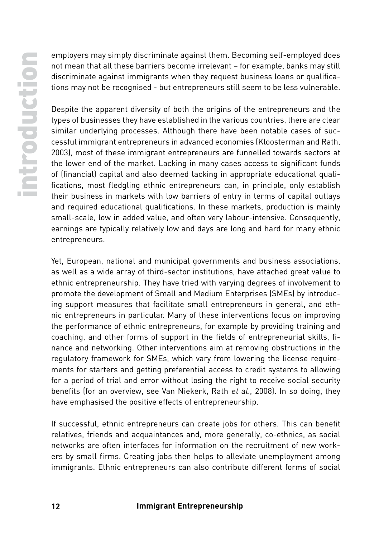employers may simply discriminate against them. Becoming self-employed does not mean that all these barriers become irrelevant – for example, banks may still discriminate against immigrants when they request business loans or qualifications may not be recognised - but entrepreneurs still seem to be less vulnerable.

Despite the apparent diversity of both the origins of the entrepreneurs and the types of businesses they have established in the various countries, there are clear similar underlying processes. Although there have been notable cases of successful immigrant entrepreneurs in advanced economies (Kloosterman and Rath, 2003), most of these immigrant entrepreneurs are funnelled towards sectors at the lower end of the market. Lacking in many cases access to significant funds of (financial) capital and also deemed lacking in appropriate educational qualifications, most fledgling ethnic entrepreneurs can, in principle, only establish their business in markets with low barriers of entry in terms of capital outlays and required educational qualifications. In these markets, production is mainly small-scale, low in added value, and often very labour-intensive. Consequently, earnings are typically relatively low and days are long and hard for many ethnic entrepreneurs.

Yet, European, national and municipal governments and business associations, as well as a wide array of third-sector institutions, have attached great value to ethnic entrepreneurship. They have tried with varying degrees of involvement to promote the development of Small and Medium Enterprises (SMEs) by introducing support measures that facilitate small entrepreneurs in general, and ethnic entrepreneurs in particular. Many of these interventions focus on improving the performance of ethnic entrepreneurs, for example by providing training and coaching, and other forms of support in the fields of entrepreneurial skills, finance and networking. Other interventions aim at removing obstructions in the regulatory framework for SMEs, which vary from lowering the license requirements for starters and getting preferential access to credit systems to allowing for a period of trial and error without losing the right to receive social security benefits (for an overview, see Van Niekerk, Rath et al., 2008). In so doing, they have emphasised the positive effects of entrepreneurship.

If successful, ethnic entrepreneurs can create jobs for others. This can benefit relatives, friends and acquaintances and, more generally, co-ethnics, as social networks are often interfaces for information on the recruitment of new workers by small firms. Creating jobs then helps to alleviate unemployment among immigrants. Ethnic entrepreneurs can also contribute different forms of social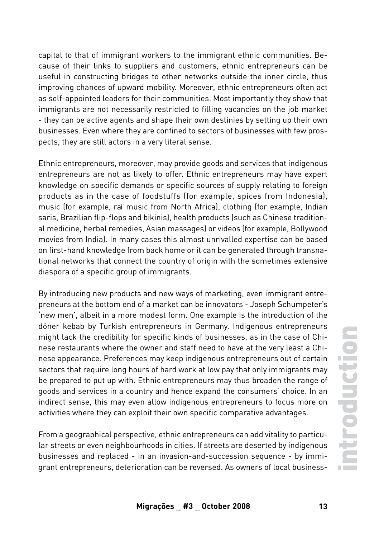capital to that of immigrant workers to the immigrant ethnic communities. Because of their links to suppliers and customers, ethnic entrepreneurs can be useful in constructing bridges to other networks outside the inner circle, thus improving chances of upward mobility. Moreover, ethnic entrepreneurs often act as self-appointed leaders for their communities. Most importantly they show that immigrants are not necessarily restricted to filling vacancies on the job market - they can be active agents and shape their own destinies by setting up their own businesses. Even where they are confined to sectors of businesses with few prospects, they are still actors in a very literal sense.

Ethnic entrepreneurs, moreover, may provide goods and services that indigenous entrepreneurs are not as likely to offer. Ethnic entrepreneurs may have expert knowledge on specific demands or specific sources of supply relating to foreign products as in the case of foodstuffs (for example, spices from Indonesia), music (for example, raï music from North Africa), clothing (for example, Indian saris, Brazilian flip-flops and bikinis), health products (such as Chinese traditional medicine, herbal remedies, Asian massages) or videos (for example, Bollywood movies from India). In many cases this almost unrivalled expertise can be based on first-hand knowledge from back home or it can be generated through transnational networks that connect the country of origin with the sometimes extensive diaspora of a specific group of immigrants.

By introducing new products and new ways of marketing, even immigrant entrepreneurs at the bottom end of a market can be innovators - Joseph Schumpeter's 'new men', albeit in a more modest form. One example is the introduction of the döner kebab by Turkish entrepreneurs in Germany. Indigenous entrepreneurs might lack the credibility for specific kinds of businesses, as in the case of Chinese restaurants where the owner and staff need to have at the very least a Chinese appearance. Preferences may keep indigenous entrepreneurs out of certain sectors that require long hours of hard work at low pay that only immigrants may be prepared to put up with. Ethnic entrepreneurs may thus broaden the range of goods and services in a country and hence expand the consumers' choice. In an indirect sense, this may even allow indigenous entrepreneurs to focus more on activities where they can exploit their own specific comparative advantages.

From a geographical perspective, ethnic entrepreneurs can add vitality to particular streets or even neighbourhoods in cities. If streets are deserted by indigenous businesses and replaced - in an invasion-and-succession sequence - by immigrant entrepreneurs, deterioration can be reversed. As owners of local business-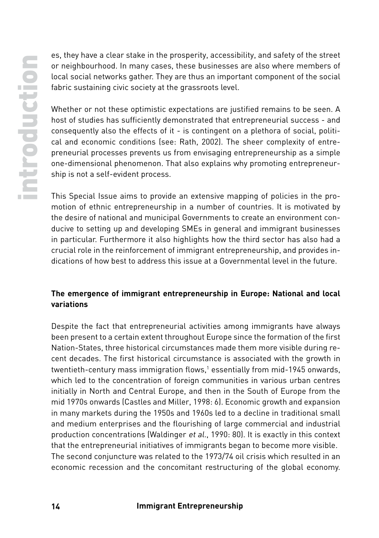es, they have a clear stake in the prosperity, accessibility, and safety of the street or neighbourhood. In many cases, these businesses are also where members of local social networks gather. They are thus an important component of the social fabric sustaining civic society at the grassroots level.

Whether or not these optimistic expectations are justified remains to be seen. A host of studies has sufficiently demonstrated that entrepreneurial success - and consequently also the effects of it - is contingent on a plethora of social, political and economic conditions (see: Rath, 2002). The sheer complexity of entrepreneurial processes prevents us from envisaging entrepreneurship as a simple one-dimensional phenomenon. That also explains why promoting entrepreneurship is not a self-evident process.

This Special Issue aims to provide an extensive mapping of policies in the promotion of ethnic entrepreneurship in a number of countries. It is motivated by the desire of national and municipal Governments to create an environment conducive to setting up and developing SMEs in general and immigrant businesses in particular. Furthermore it also highlights how the third sector has also had a crucial role in the reinforcement of immigrant entrepreneurship, and provides indications of how best to address this issue at a Governmental level in the future.

### **The emergence of immigrant entrepreneurship in Europe: National and local variations**

Despite the fact that entrepreneurial activities among immigrants have always been present to a certain extent throughout Europe since the formation of the first Nation-States, three historical circumstances made them more visible during recent decades. The first historical circumstance is associated with the growth in twentieth-century mass immigration flows,1 essentially from mid-1945 onwards, which led to the concentration of foreign communities in various urban centres initially in North and Central Europe, and then in the South of Europe from the mid 1970s onwards (Castles and Miller, 1998: 6). Economic growth and expansion in many markets during the 1950s and 1960s led to a decline in traditional small and medium enterprises and the flourishing of large commercial and industrial production concentrations (Waldinger et al., 1990: 80). It is exactly in this context that the entrepreneurial initiatives of immigrants began to become more visible. The second conjuncture was related to the 1973/74 oil crisis which resulted in an economic recession and the concomitant restructuring of the global economy.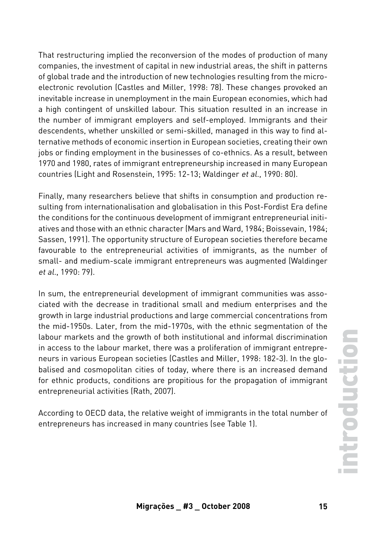That restructuring implied the reconversion of the modes of production of many companies, the investment of capital in new industrial areas, the shift in patterns of global trade and the introduction of new technologies resulting from the microelectronic revolution (Castles and Miller, 1998: 78). These changes provoked an inevitable increase in unemployment in the main European economies, which had a high contingent of unskilled labour. This situation resulted in an increase in the number of immigrant employers and self-employed. Immigrants and their descendents, whether unskilled or semi-skilled, managed in this way to find alternative methods of economic insertion in European societies, creating their own jobs or finding employment in the businesses of co-ethnics. As a result, between 1970 and 1980, rates of immigrant entrepreneurship increased in many European countries (Light and Rosenstein, 1995: 12-13; Waldinger et al., 1990: 80).

Finally, many researchers believe that shifts in consumption and production resulting from internationalisation and globalisation in this Post-Fordist Era define the conditions for the continuous development of immigrant entrepreneurial initiatives and those with an ethnic character (Mars and Ward, 1984; Boissevain, 1984; Sassen, 1991). The opportunity structure of European societies therefore became favourable to the entrepreneurial activities of immigrants, as the number of small- and medium-scale immigrant entrepreneurs was augmented (Waldinger et al., 1990: 79).

In sum, the entrepreneurial development of immigrant communities was associated with the decrease in traditional small and medium enterprises and the growth in large industrial productions and large commercial concentrations from the mid-1950s. Later, from the mid-1970s, with the ethnic segmentation of the labour markets and the growth of both institutional and informal discrimination in access to the labour market, there was a proliferation of immigrant entrepreneurs in various European societies (Castles and Miller, 1998: 182-3). In the globalised and cosmopolitan cities of today, where there is an increased demand for ethnic products, conditions are propitious for the propagation of immigrant entrepreneurial activities (Rath, 2007).

According to OECD data, the relative weight of immigrants in the total number of entrepreneurs has increased in many countries (see Table 1).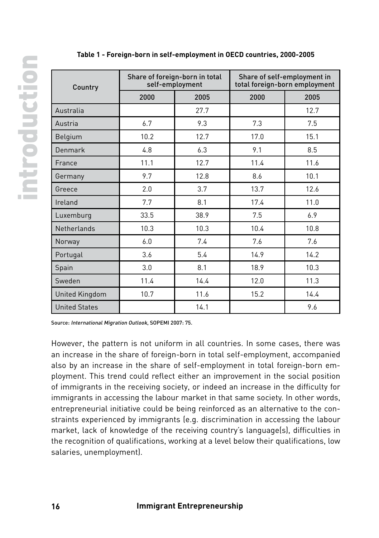| Country              | Share of foreign-born in total<br>self-employment |      | Share of self-employment in<br>total foreign-born employment |      |
|----------------------|---------------------------------------------------|------|--------------------------------------------------------------|------|
|                      | 2000                                              | 2005 | 2000                                                         | 2005 |
| Australia            |                                                   | 27.7 |                                                              | 12.7 |
| Austria              | 6.7                                               | 9.3  | 7.3                                                          | 7.5  |
| Belgium              | 10.2                                              | 12.7 | 17.0                                                         | 15.1 |
| Denmark              | 4.8                                               | 6.3  | 9.1                                                          | 8.5  |
| France               | 11.1                                              | 12.7 | 11.4                                                         | 11.6 |
| Germany              | 9.7                                               | 12.8 | 8.6                                                          | 10.1 |
| Greece               | 2.0                                               | 3.7  | 13.7                                                         | 12.6 |
| Ireland              | 7.7                                               | 8.1  | 17.4                                                         | 11.0 |
| Luxemburg            | 33.5                                              | 38.9 | 7.5                                                          | 6.9  |
| Netherlands          | 10.3                                              | 10.3 | 10.4                                                         | 10.8 |
| Norway               | 6.0                                               | 7.4  | 7.6                                                          | 7.6  |
| Portugal             | 3.6                                               | 5.4  | 14.9                                                         | 14.2 |
| Spain                | 3.0                                               | 8.1  | 18.9                                                         | 10.3 |
| Sweden               | 11.4                                              | 14.4 | 12.0                                                         | 11.3 |
| United Kingdom       | 10.7                                              | 11.6 | 15.2                                                         | 14.4 |
| <b>United States</b> |                                                   | 14.1 |                                                              | 9.6  |

**Table 1 - Foreign-born in self-employment in OECD countries, 2000-2005**

Source: International Migration Outlook, SOPEMI 2007: 75.

However, the pattern is not uniform in all countries. In some cases, there was an increase in the share of foreign-born in total self-employment, accompanied also by an increase in the share of self-employment in total foreign-born employment. This trend could reflect either an improvement in the social position of immigrants in the receiving society, or indeed an increase in the difficulty for immigrants in accessing the labour market in that same society. In other words, entrepreneurial initiative could be being reinforced as an alternative to the constraints experienced by immigrants (e.g. discrimination in accessing the labour market, lack of knowledge of the receiving country's language(s), difficulties in the recognition of qualifications, working at a level below their qualifications, low salaries, unemployment).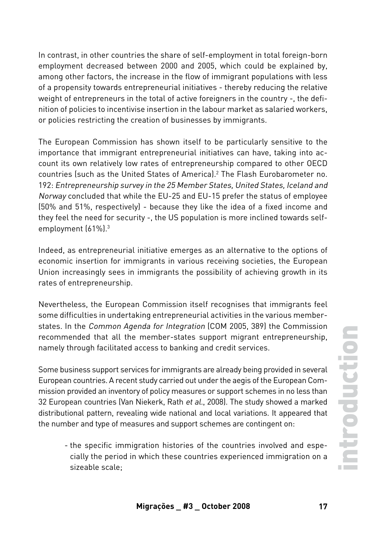In contrast, in other countries the share of self-employment in total foreign-born employment decreased between 2000 and 2005, which could be explained by, among other factors, the increase in the flow of immigrant populations with less of a propensity towards entrepreneurial initiatives - thereby reducing the relative weight of entrepreneurs in the total of active foreigners in the country -, the definition of policies to incentivise insertion in the labour market as salaried workers, or policies restricting the creation of businesses by immigrants.

The European Commission has shown itself to be particularly sensitive to the importance that immigrant entrepreneurial initiatives can have, taking into account its own relatively low rates of entrepreneurship compared to other OECD countries (such as the United States of America).2 The Flash Eurobarometer no. 192: Entrepreneurship survey in the 25 Member States, United States, Iceland and Norway concluded that while the EU-25 and EU-15 prefer the status of employee (50% and 51%, respectively) - because they like the idea of a fixed income and they feel the need for security -, the US population is more inclined towards selfemployment (61%).3

Indeed, as entrepreneurial initiative emerges as an alternative to the options of economic insertion for immigrants in various receiving societies, the European Union increasingly sees in immigrants the possibility of achieving growth in its rates of entrepreneurship.

Nevertheless, the European Commission itself recognises that immigrants feel some difficulties in undertaking entrepreneurial activities in the various memberstates. In the Common Agenda for Integration (COM 2005, 389) the Commission recommended that all the member-states support migrant entrepreneurship, namely through facilitated access to banking and credit services.

Some business support services for immigrants are already being provided in several European countries. A recent study carried out under the aegis of the European Commission provided an inventory of policy measures or support schemes in no less than 32 European countries (Van Niekerk, Rath et al., 2008). The study showed a marked distributional pattern, revealing wide national and local variations. It appeared that the number and type of measures and support schemes are contingent on:

- the specific immigration histories of the countries involved and especially the period in which these countries experienced immigration on a sizeable scale;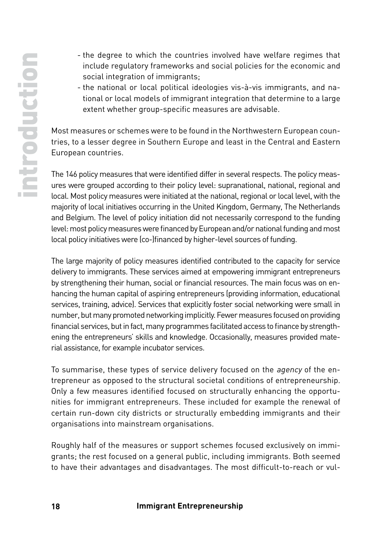- the degree to which the countries involved have welfare regimes that include regulatory frameworks and social policies for the economic and social integration of immigrants:
- the national or local political ideologies vis-à-vis immigrants, and national or local models of immigrant integration that determine to a large extent whether group-specific measures are advisable.

Most measures or schemes were to be found in the Northwestern European countries, to a lesser degree in Southern Europe and least in the Central and Eastern European countries.

The 146 policy measures that were identified differ in several respects. The policy measures were grouped according to their policy level: supranational, national, regional and local. Most policy measures were initiated at the national, regional or local level, with the majority of local initiatives occurring in the United Kingdom, Germany, The Netherlands and Belgium. The level of policy initiation did not necessarily correspond to the funding level: most policy measures were financed by European and/or national funding and most local policy initiatives were (co-)financed by higher-level sources of funding.

The large majority of policy measures identified contributed to the capacity for service delivery to immigrants. These services aimed at empowering immigrant entrepreneurs by strengthening their human, social or financial resources. The main focus was on enhancing the human capital of aspiring entrepreneurs (providing information, educational services, training, advice). Services that explicitly foster social networking were small in number, but many promoted networking implicitly. Fewer measures focused on providing financial services, but in fact, many programmes facilitated access to finance by strengthening the entrepreneurs' skills and knowledge. Occasionally, measures provided material assistance, for example incubator services.

To summarise, these types of service delivery focused on the agency of the entrepreneur as opposed to the structural societal conditions of entrepreneurship. Only a few measures identified focused on structurally enhancing the opportunities for immigrant entrepreneurs. These included for example the renewal of certain run-down city districts or structurally embedding immigrants and their organisations into mainstream organisations.

Roughly half of the measures or support schemes focused exclusively on immigrants; the rest focused on a general public, including immigrants. Both seemed to have their advantages and disadvantages. The most difficult-to-reach or vul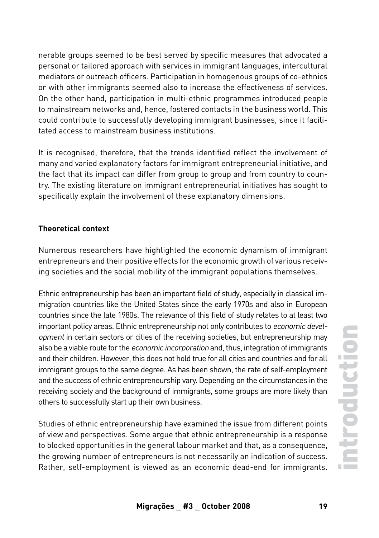nerable groups seemed to be best served by specific measures that advocated a personal or tailored approach with services in immigrant languages, intercultural mediators or outreach officers. Participation in homogenous groups of co-ethnics or with other immigrants seemed also to increase the effectiveness of services. On the other hand, participation in multi-ethnic programmes introduced people to mainstream networks and, hence, fostered contacts in the business world. This could contribute to successfully developing immigrant businesses, since it facilitated access to mainstream business institutions.

It is recognised, therefore, that the trends identified reflect the involvement of many and varied explanatory factors for immigrant entrepreneurial initiative, and the fact that its impact can differ from group to group and from country to country. The existing literature on immigrant entrepreneurial initiatives has sought to specifically explain the involvement of these explanatory dimensions.

### **Theoretical context**

Numerous researchers have highlighted the economic dynamism of immigrant entrepreneurs and their positive effects for the economic growth of various receiving societies and the social mobility of the immigrant populations themselves.

Ethnic entrepreneurship has been an important field of study, especially in classical immigration countries like the United States since the early 1970s and also in European countries since the late 1980s. The relevance of this field of study relates to at least two important policy areas. Ethnic entrepreneurship not only contributes to economic development in certain sectors or cities of the receiving societies, but entrepreneurship may also be a viable route for the economic incorporation and, thus, integration of immigrants and their children. However, this does not hold true for all cities and countries and for all immigrant groups to the same degree. As has been shown, the rate of self-employment and the success of ethnic entrepreneurship vary. Depending on the circumstances in the receiving society and the background of immigrants, some groups are more likely than others to successfully start up their own business.

Studies of ethnic entrepreneurship have examined the issue from different points of view and perspectives. Some argue that ethnic entrepreneurship is a response to blocked opportunities in the general labour market and that, as a consequence, the growing number of entrepreneurs is not necessarily an indication of success. Rather, self-employment is viewed as an economic dead-end for immigrants.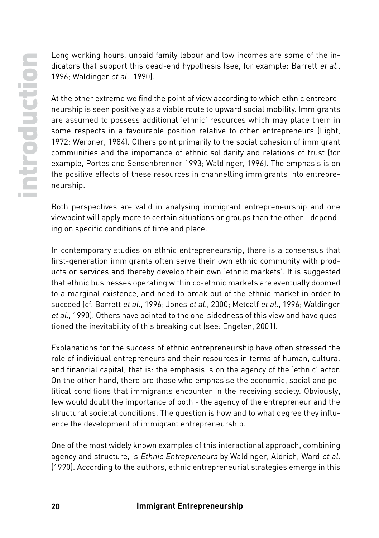Long working hours, unpaid family labour and low incomes are some of the indicators that support this dead-end hypothesis (see, for example: Barrett et al., 1996; Waldinger et al., 1990).

At the other extreme we find the point of view according to which ethnic entrepreneurship is seen positively as a viable route to upward social mobility. Immigrants are assumed to possess additional 'ethnic' resources which may place them in some respects in a favourable position relative to other entrepreneurs (Light, 1972; Werbner, 1984). Others point primarily to the social cohesion of immigrant communities and the importance of ethnic solidarity and relations of trust (for example, Portes and Sensenbrenner 1993; Waldinger, 1996). The emphasis is on the positive effects of these resources in channelling immigrants into entrepreneurship.

Both perspectives are valid in analysing immigrant entrepreneurship and one viewpoint will apply more to certain situations or groups than the other - depending on specific conditions of time and place.

In contemporary studies on ethnic entrepreneurship, there is a consensus that first-generation immigrants often serve their own ethnic community with products or services and thereby develop their own 'ethnic markets'. It is suggested that ethnic businesses operating within co-ethnic markets are eventually doomed to a marginal existence, and need to break out of the ethnic market in order to succeed (cf. Barrett et al., 1996; Jones et al., 2000; Metcalf et al., 1996; Waldinger et al., 1990). Others have pointed to the one-sidedness of this view and have questioned the inevitability of this breaking out (see: Engelen, 2001).

Explanations for the success of ethnic entrepreneurship have often stressed the role of individual entrepreneurs and their resources in terms of human, cultural and financial capital, that is: the emphasis is on the agency of the 'ethnic' actor. On the other hand, there are those who emphasise the economic, social and political conditions that immigrants encounter in the receiving society. Obviously, few would doubt the importance of both - the agency of the entrepreneur and the structural societal conditions. The question is how and to what degree they influence the development of immigrant entrepreneurship.

One of the most widely known examples of this interactional approach, combining agency and structure, is Ethnic Entrepreneurs by Waldinger, Aldrich, Ward et al. (1990). According to the authors, ethnic entrepreneurial strategies emerge in this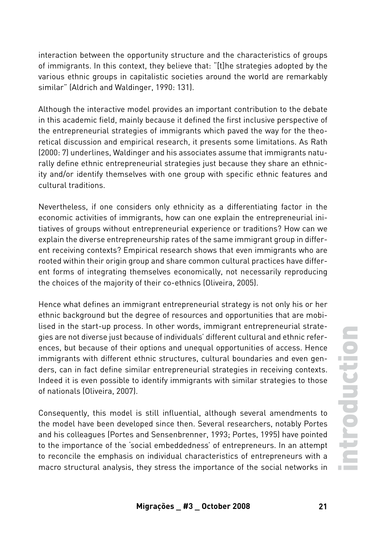interaction between the opportunity structure and the characteristics of groups of immigrants. In this context, they believe that: "[t]he strategies adopted by the various ethnic groups in capitalistic societies around the world are remarkably similar" (Aldrich and Waldinger, 1990: 131).

Although the interactive model provides an important contribution to the debate in this academic field, mainly because it defined the first inclusive perspective of the entrepreneurial strategies of immigrants which paved the way for the theoretical discussion and empirical research, it presents some limitations. As Rath (2000: 7) underlines, Waldinger and his associates assume that immigrants naturally define ethnic entrepreneurial strategies just because they share an ethnicity and/or identify themselves with one group with specific ethnic features and cultural traditions.

Nevertheless, if one considers only ethnicity as a differentiating factor in the economic activities of immigrants, how can one explain the entrepreneurial initiatives of groups without entrepreneurial experience or traditions? How can we explain the diverse entrepreneurship rates of the same immigrant group in different receiving contexts? Empirical research shows that even immigrants who are rooted within their origin group and share common cultural practices have different forms of integrating themselves economically, not necessarily reproducing the choices of the majority of their co-ethnics (Oliveira, 2005).

Hence what defines an immigrant entrepreneurial strategy is not only his or her ethnic background but the degree of resources and opportunities that are mobilised in the start-up process. In other words, immigrant entrepreneurial strategies are not diverse just because of individuals' different cultural and ethnic references, but because of their options and unequal opportunities of access. Hence immigrants with different ethnic structures, cultural boundaries and even genders, can in fact define similar entrepreneurial strategies in receiving contexts. Indeed it is even possible to identify immigrants with similar strategies to those of nationals (Oliveira, 2007).

Consequently, this model is still influential, although several amendments to the model have been developed since then. Several researchers, notably Portes and his colleagues (Portes and Sensenbrenner, 1993; Portes, 1995) have pointed to the importance of the 'social embeddedness' of entrepreneurs. In an attempt to reconcile the emphasis on individual characteristics of entrepreneurs with a macro structural analysis, they stress the importance of the social networks in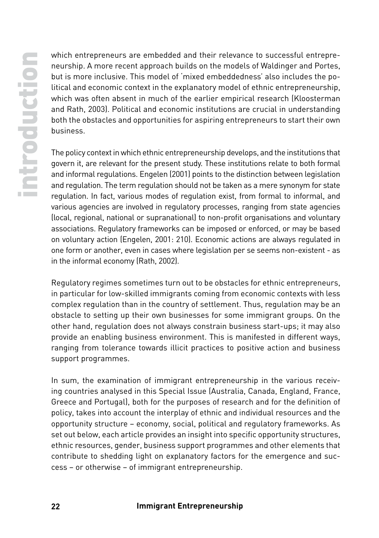which entrepreneurs are embedded and their relevance to successful entrepreneurship. A more recent approach builds on the models of Waldinger and Portes, but is more inclusive. This model of 'mixed embeddedness' also includes the political and economic context in the explanatory model of ethnic entrepreneurship, which was often absent in much of the earlier empirical research (Kloosterman and Rath, 2003). Political and economic institutions are crucial in understanding both the obstacles and opportunities for aspiring entrepreneurs to start their own business.

The policy context in which ethnic entrepreneurship develops, and the institutions that govern it, are relevant for the present study. These institutions relate to both formal and informal regulations. Engelen (2001) points to the distinction between legislation and regulation. The term regulation should not be taken as a mere synonym for state regulation. In fact, various modes of regulation exist, from formal to informal, and various agencies are involved in regulatory processes, ranging from state agencies (local, regional, national or supranational) to non-profit organisations and voluntary associations. Regulatory frameworks can be imposed or enforced, or may be based on voluntary action (Engelen, 2001: 210). Economic actions are always regulated in one form or another, even in cases where legislation per se seems non-existent - as in the informal economy (Rath, 2002).

Regulatory regimes sometimes turn out to be obstacles for ethnic entrepreneurs, in particular for low-skilled immigrants coming from economic contexts with less complex regulation than in the country of settlement. Thus, regulation may be an obstacle to setting up their own businesses for some immigrant groups. On the other hand, regulation does not always constrain business start-ups; it may also provide an enabling business environment. This is manifested in different ways, ranging from tolerance towards illicit practices to positive action and business support programmes.

In sum, the examination of immigrant entrepreneurship in the various receiving countries analysed in this Special Issue (Australia, Canada, England, France, Greece and Portugal), both for the purposes of research and for the definition of policy, takes into account the interplay of ethnic and individual resources and the opportunity structure – economy, social, political and regulatory frameworks. As set out below, each article provides an insight into specific opportunity structures, ethnic resources, gender, business support programmes and other elements that contribute to shedding light on explanatory factors for the emergence and success – or otherwise – of immigrant entrepreneurship.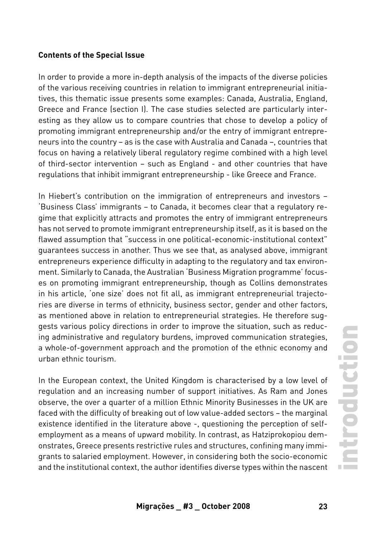#### **Contents of the Special Issue**

In order to provide a more in-depth analysis of the impacts of the diverse policies of the various receiving countries in relation to immigrant entrepreneurial initiatives, this thematic issue presents some examples: Canada, Australia, England, Greece and France (section I). The case studies selected are particularly interesting as they allow us to compare countries that chose to develop a policy of promoting immigrant entrepreneurship and/or the entry of immigrant entrepreneurs into the country – as is the case with Australia and Canada –, countries that focus on having a relatively liberal regulatory regime combined with a high level of third-sector intervention – such as England - and other countries that have regulations that inhibit immigrant entrepreneurship - like Greece and France.

In Hiebert's contribution on the immigration of entrepreneurs and investors -'Business Class' immigrants – to Canada, it becomes clear that a regulatory regime that explicitly attracts and promotes the entry of immigrant entrepreneurs has not served to promote immigrant entrepreneurship itself, as it is based on the flawed assumption that "success in one political-economic-institutional context" guarantees success in another. Thus we see that, as analysed above, immigrant entrepreneurs experience difficulty in adapting to the regulatory and tax environment. Similarly to Canada, the Australian 'Business Migration programme' focuses on promoting immigrant entrepreneurship, though as Collins demonstrates in his article, 'one size' does not fit all, as immigrant entrepreneurial trajectories are diverse in terms of ethnicity, business sector, gender and other factors, as mentioned above in relation to entrepreneurial strategies. He therefore suggests various policy directions in order to improve the situation, such as reducing administrative and regulatory burdens, improved communication strategies, a whole-of-government approach and the promotion of the ethnic economy and urban ethnic tourism.

In the European context, the United Kingdom is characterised by a low level of regulation and an increasing number of support initiatives. As Ram and Jones observe, the over a quarter of a million Ethnic Minority Businesses in the UK are faced with the difficulty of breaking out of low value-added sectors – the marginal existence identified in the literature above -, questioning the perception of selfemployment as a means of upward mobility. In contrast, as Hatziprokopiou demonstrates, Greece presents restrictive rules and structures, confining many immigrants to salaried employment. However, in considering both the socio-economic and the institutional context, the author identifies diverse types within the nascent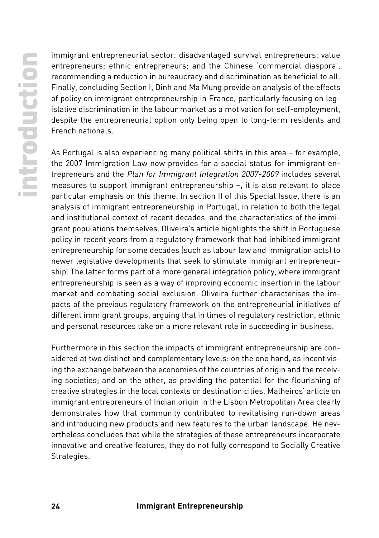immigrant entrepreneurial sector: disadvantaged survival entrepreneurs; value entrepreneurs; ethnic entrepreneurs; and the Chinese 'commercial diaspora', recommending a reduction in bureaucracy and discrimination as beneficial to all. Finally, concluding Section I, Dinh and Ma Mung provide an analysis of the effects of policy on immigrant entrepreneurship in France, particularly focusing on legislative discrimination in the labour market as a motivation for self-employment, despite the entrepreneurial option only being open to long-term residents and French nationals.

As Portugal is also experiencing many political shifts in this area – for example, the 2007 Immigration Law now provides for a special status for immigrant entrepreneurs and the Plan for Immigrant Integration 2007-2009 includes several measures to support immigrant entrepreneurship –, it is also relevant to place particular emphasis on this theme. In section II of this Special Issue, there is an analysis of immigrant entrepreneurship in Portugal, in relation to both the legal and institutional context of recent decades, and the characteristics of the immigrant populations themselves. Oliveira's article highlights the shift in Portuguese policy in recent years from a regulatory framework that had inhibited immigrant entrepreneurship for some decades (such as labour law and immigration acts) to newer legislative developments that seek to stimulate immigrant entrepreneurship. The latter forms part of a more general integration policy, where immigrant entrepreneurship is seen as a way of improving economic insertion in the labour market and combating social exclusion. Oliveira further characterises the impacts of the previous regulatory framework on the entrepreneurial initiatives of different immigrant groups, arguing that in times of regulatory restriction, ethnic and personal resources take on a more relevant role in succeeding in business.

Furthermore in this section the impacts of immigrant entrepreneurship are considered at two distinct and complementary levels: on the one hand, as incentivising the exchange between the economies of the countries of origin and the receiving societies; and on the other, as providing the potential for the flourishing of creative strategies in the local contexts or destination cities. Malheiros' article on immigrant entrepreneurs of Indian origin in the Lisbon Metropolitan Area clearly demonstrates how that community contributed to revitalising run-down areas and introducing new products and new features to the urban landscape. He nevertheless concludes that while the strategies of these entrepreneurs incorporate innovative and creative features, they do not fully correspond to Socially Creative Strategies.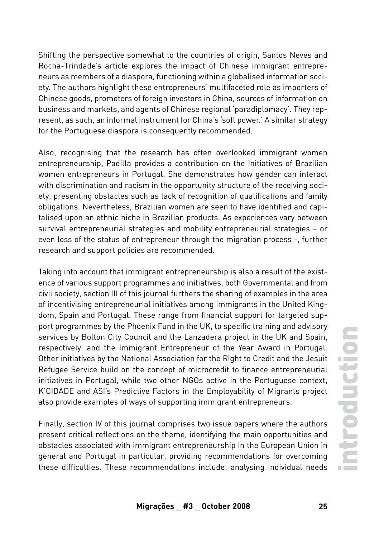Shifting the perspective somewhat to the countries of origin, Santos Neves and Rocha-Trindade's article explores the impact of Chinese immigrant entrepreneurs as members of a diaspora, functioning within a globalised information society. The authors highlight these entrepreneurs' multifaceted role as importers of Chinese goods, promoters of foreign investors in China, sources of information on business and markets, and agents of Chinese regional 'paradiplomacy'. They represent, as such, an informal instrument for China's 'soft power.' A similar strategy for the Portuguese diaspora is consequently recommended.

Also, recognising that the research has often overlooked immigrant women entrepreneurship, Padilla provides a contribution on the initiatives of Brazilian women entrepreneurs in Portugal. She demonstrates how gender can interact with discrimination and racism in the opportunity structure of the receiving society, presenting obstacles such as lack of recognition of qualifications and family obligations. Nevertheless, Brazilian women are seen to have identified and capitalised upon an ethnic niche in Brazilian products. As experiences vary between survival entrepreneurial strategies and mobility entrepreneurial strategies – or even loss of the status of entrepreneur through the migration process -, further research and support policies are recommended.

Taking into account that immigrant entrepreneurship is also a result of the existence of various support programmes and initiatives, both Governmental and from civil society, section III of this journal furthers the sharing of examples in the area of incentivising entrepreneurial initiatives among immigrants in the United Kingdom, Spain and Portugal. These range from financial support for targeted support programmes by the Phoenix Fund in the UK, to specific training and advisory services by Bolton City Council and the Lanzadera project in the UK and Spain, respectively, and the Immigrant Entrepreneur of the Year Award in Portugal. Other initiatives by the National Association for the Right to Credit and the Jesuit Refugee Service build on the concept of microcredit to finance entrepreneurial initiatives in Portugal, while two other NGOs active in the Portuguese context, K'CIDADE and ASI's Predictive Factors in the Employability of Migrants project also provide examples of ways of supporting immigrant entrepreneurs.

Finally, section IV of this journal comprises two issue papers where the authors present critical reflections on the theme, identifying the main opportunities and obstacles associated with immigrant entrepreneurship in the European Union in general and Portugal in particular, providing recommendations for overcoming these difficulties. These recommendations include: analysing individual needs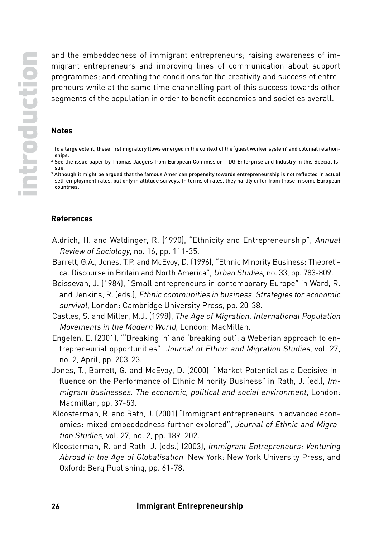and the embeddedness of immigrant entrepreneurs; raising awareness of immigrant entrepreneurs and improving lines of communication about support programmes; and creating the conditions for the creativity and success of entrepreneurs while at the same time channelling part of this success towards other segments of the population in order to benefit economies and societies overall.

#### **Notes**

- 1 To a large extent, these first migratory flows emerged in the context of the 'guest worker system' and colonial relationships.
- 2 See the issue paper by Thomas Jaegers from European Commission DG Enterprise and Industry in this Special Issue.
- 3 Although it might be argued that the famous American propensity towards entrepreneurship is not reflected in actual self-employment rates, but only in attitude surveys. In terms of rates, they hardly differ from those in some European countries.

#### **References**

- Aldrich, H. and Waldinger, R. (1990), "Ethnicity and Entrepreneurship", Annual Review of Sociology, no. 16, pp. 111-35.
- Barrett, G.A., Jones, T.P. and McEvoy, D. (1996), "Ethnic Minority Business: Theoretical Discourse in Britain and North America", Urban Studies, no. 33, pp. 783-809.
- Boissevan, J. (1984), "Small entrepreneurs in contemporary Europe" in Ward, R. and Jenkins, R. (eds.), Ethnic communities in business. Strategies for economic survival, London: Cambridge University Press, pp. 20-38.
- Castles, S. and Miller, M.J. (1998), The Age of Migration. International Population Movements in the Modern World, London: MacMillan.
- Engelen, E. (2001), "'Breaking in' and 'breaking out': a Weberian approach to entrepreneurial opportunities", Journal of Ethnic and Migration Studies, vol. 27, no. 2, April, pp. 203-23.
- Jones, T., Barrett, G. and McEvoy, D. (2000), "Market Potential as a Decisive Influence on the Performance of Ethnic Minority Business" in Rath, J. (ed.), Immigrant businesses. The economic, political and social environment, London: Macmillan, pp. 37-53.
- Kloosterman, R. and Rath, J. (2001) "Immigrant entrepreneurs in advanced economies: mixed embeddedness further explored", Journal of Ethnic and Migration Studies, vol. 27, no. 2, pp. 189–202.
- Kloosterman, R. and Rath, J. (eds.) (2003), Immigrant Entrepreneurs: Venturing Abroad in the Age of Globalisation, New York: New York University Press, and Oxford: Berg Publishing, pp. 61-78.